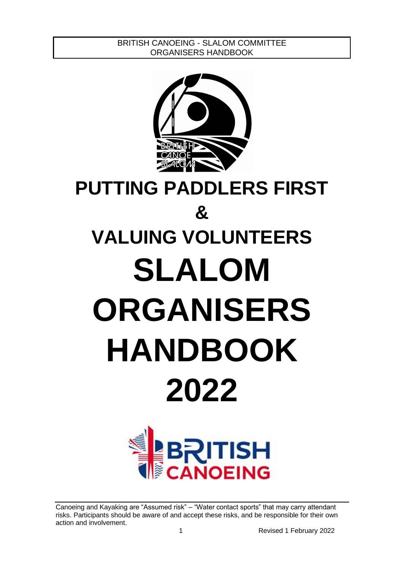

# **PUTTING PADDLERS FIRST & VALUING VOLUNTEERS SLALOM ORGANISERS HANDBOOK 2022**

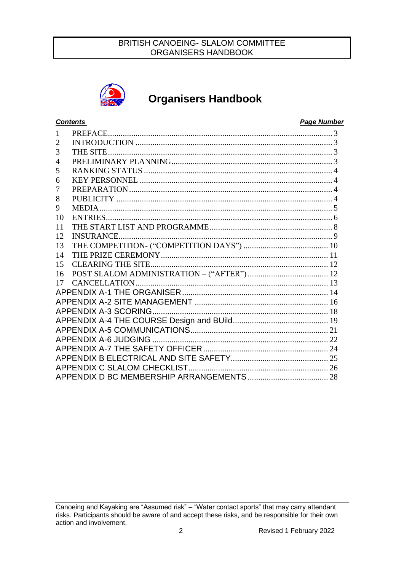

## **Organisers Handbook**

## **Contents**

#### **Page Number**

| 1              |  |
|----------------|--|
| $\overline{2}$ |  |
| 3              |  |
| $\overline{4}$ |  |
| 5              |  |
| 6              |  |
| 7              |  |
| 8              |  |
| 9              |  |
| 10             |  |
| 11             |  |
| 12             |  |
| 13             |  |
| 14             |  |
| 15             |  |
| 16             |  |
| 17             |  |
|                |  |
|                |  |
|                |  |
|                |  |
|                |  |
|                |  |
|                |  |
|                |  |
|                |  |
|                |  |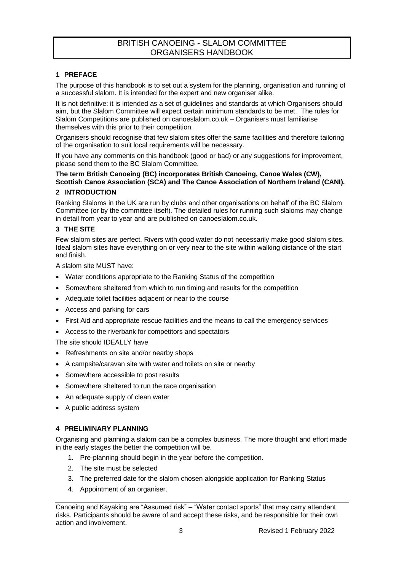#### <span id="page-2-0"></span>**1 PREFACE**

The purpose of this handbook is to set out a system for the planning, organisation and running of a successful slalom. It is intended for the expert and new organiser alike.

It is not definitive: it is intended as a set of guidelines and standards at which Organisers should aim, but the Slalom Committee will expect certain minimum standards to be met. The rules for Slalom Competitions are published on canoeslalom.co.uk – Organisers must familiarise themselves with this prior to their competition.

Organisers should recognise that few slalom sites offer the same facilities and therefore tailoring of the organisation to suit local requirements will be necessary.

If you have any comments on this handbook (good or bad) or any suggestions for improvement, please send them to the BC Slalom Committee.

## **The term British Canoeing (BC) incorporates British Canoeing, Canoe Wales (CW), Scottish Canoe Association (SCA) and The Canoe Association of Northern Ireland (CANI).**

#### <span id="page-2-1"></span>**2 INTRODUCTION**

Ranking Slaloms in the UK are run by clubs and other organisations on behalf of the BC Slalom Committee (or by the committee itself). The detailed rules for running such slaloms may change in detail from year to year and are published on canoeslalom.co.uk.

#### <span id="page-2-2"></span>**3 THE SITE**

Few slalom sites are perfect. Rivers with good water do not necessarily make good slalom sites. Ideal slalom sites have everything on or very near to the site within walking distance of the start and finish.

A slalom site MUST have:

- Water conditions appropriate to the Ranking Status of the competition
- Somewhere sheltered from which to run timing and results for the competition
- Adequate toilet facilities adjacent or near to the course
- Access and parking for cars
- First Aid and appropriate rescue facilities and the means to call the emergency services
- Access to the riverbank for competitors and spectators

The site should IDEALLY have

- Refreshments on site and/or nearby shops
- A campsite/caravan site with water and toilets on site or nearby
- Somewhere accessible to post results
- Somewhere sheltered to run the race organisation
- An adequate supply of clean water
- A public address system

#### <span id="page-2-3"></span>**4 PRELIMINARY PLANNING**

Organising and planning a slalom can be a complex business. The more thought and effort made in the early stages the better the competition will be.

- 1. Pre-planning should begin in the year before the competition.
- 2. The site must be selected
- 3. The preferred date for the slalom chosen alongside application for Ranking Status
- 4. Appointment of an organiser.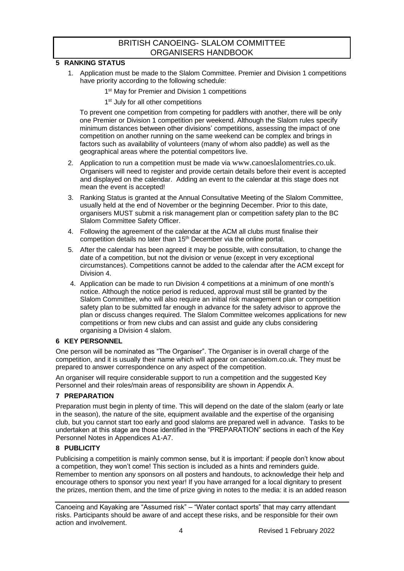#### <span id="page-3-0"></span>**5 RANKING STATUS**

- 1. Application must be made to the Slalom Committee. Premier and Division 1 competitions have priority according to the following schedule:
	- 1<sup>st</sup> May for Premier and Division 1 competitions
	- 1<sup>st</sup> July for all other competitions

To prevent one competition from competing for paddlers with another, there will be only one Premier or Division 1 competition per weekend. Although the Slalom rules specify minimum distances between other divisions' competitions, assessing the impact of one competition on another running on the same weekend can be complex and brings in factors such as availability of volunteers (many of whom also paddle) as well as the geographical areas where the potential competitors live.

- 2. Application to run a competition must be made via [www.canoeslalomentries.co.uk](http://www.canoeslalomentries.co.uk/). Organisers will need to register and provide certain details before their event is accepted and displayed on the calendar. Adding an event to the calendar at this stage does not mean the event is accepted!
- 3. Ranking Status is granted at the Annual Consultative Meeting of the Slalom Committee, usually held at the end of November or the beginning December. Prior to this date, organisers MUST submit a risk management plan or competition safety plan to the BC Slalom Committee Safety Officer.
- 4. Following the agreement of the calendar at the ACM all clubs must finalise their competition details no later than 15<sup>th</sup> December via the online portal.
- 5. After the calendar has been agreed it may be possible, with consultation, to change the date of a competition, but not the division or venue (except in very exceptional circumstances). Competitions cannot be added to the calendar after the ACM except for Division 4.
- 4. Application can be made to run Division 4 competitions at a minimum of one month's notice. Although the notice period is reduced, approval must still be granted by the Slalom Committee, who will also require an initial risk management plan or competition safety plan to be submitted far enough in advance for the safety advisor to approve the plan or discuss changes required. The Slalom Committee welcomes applications for new competitions or from new clubs and can assist and guide any clubs considering organising a Division 4 slalom.

#### <span id="page-3-1"></span>**6 KEY PERSONNEL**

One person will be nominated as "The Organiser". The Organiser is in overall charge of the competition, and it is usually their name which will appear on canoeslalom.co.uk. They must be prepared to answer correspondence on any aspect of the competition.

An organiser will require considerable support to run a competition and the suggested Key Personnel and their roles/main areas of responsibility are shown in Appendix A.

## <span id="page-3-2"></span>**7 PREPARATION**

Preparation must begin in plenty of time. This will depend on the date of the slalom (early or late in the season), the nature of the site, equipment available and the expertise of the organising club, but you cannot start too early and good slaloms are prepared well in advance. Tasks to be undertaken at this stage are those identified in the "PREPARATION" sections in each of the Key Personnel Notes in Appendices A1-A7.

#### <span id="page-3-3"></span>**8 PUBLICITY**

Publicising a competition is mainly common sense, but it is important: if people don't know about a competition, they won't come! This section is included as a hints and reminders guide. Remember to mention any sponsors on all posters and handouts, to acknowledge their help and encourage others to sponsor you next year! If you have arranged for a local dignitary to present the prizes, mention them, and the time of prize giving in notes to the media: it is an added reason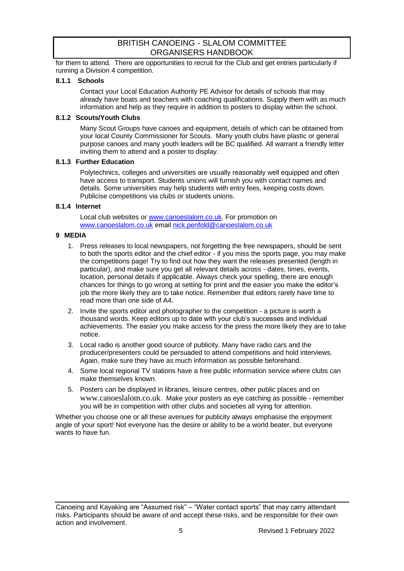for them to attend. There are opportunities to recruit for the Club and get entries particularly if running a Division 4 competition.

#### **8.1.1 Schools**

Contact your Local Education Authority PE Advisor for details of schools that may already have boats and teachers with coaching qualifications. Supply them with as much information and help as they require in addition to posters to display within the school.

#### **8.1.2 Scouts/Youth Clubs**

Many Scout Groups have canoes and equipment, details of which can be obtained from your local County Commissioner for Scouts. Many youth clubs have plastic or general purpose canoes and many youth leaders will be BC qualified. All warrant a friendly letter inviting them to attend and a poster to display.

#### **8.1.3 Further Education**

Polytechnics, colleges and universities are usually reasonably well equipped and often have access to transport. Students unions will furnish you with contact names and details. Some universities may help students with entry fees, keeping costs down. Publicise competitions via clubs or students unions.

## **8.1.4 Internet**

Local club websites or [www.canoeslalom.co.uk.](http://www.canoeslalom.co.uk/) For promotion on [www.canoeslalom.co.uk](http://www.canoeslalom.co.uk/) email [nick.penfold@canoeslalom.co.uk](mailto:nick.penfold@canoeslalom.co.uk)

#### <span id="page-4-0"></span>**9 MEDIA**

- 1. Press releases to local newspapers, not forgetting the free newspapers, should be sent to both the sports editor and the chief editor - if you miss the sports page, you may make the competitions page! Try to find out how they want the releases presented (length in particular), and make sure you get all relevant details across - dates, times, events, location, personal details if applicable. Always check your spelling, there are enough chances for things to go wrong at setting for print and the easier you make the editor's job the more likely they are to take notice. Remember that editors rarely have time to read more than one side of A4.
- 2. Invite the sports editor and photographer to the competition a picture is worth a thousand words. Keep editors up to date with your club's successes and individual achievements. The easier you make access for the press the more likely they are to take notice.
- 3. Local radio is another good source of publicity. Many have radio cars and the producer/presenters could be persuaded to attend competitions and hold interviews. Again, make sure they have as much information as possible beforehand.
- 4. Some local regional TV stations have a free public information service where clubs can make themselves known.
- 5. Posters can be displayed in libraries, leisure centres, other public places and on [www.canoeslalom.co.uk](http://www.canoeslalom.co.uk/). Make your posters as eye catching as possible - remember you will be in competition with other clubs and societies all vying for attention.

Whether you choose one or all these avenues for publicity always emphasise the enjoyment angle of your sport! Not everyone has the desire or ability to be a world beater, but everyone wants to have fun.

Canoeing and Kayaking are "Assumed risk" – "Water contact sports" that may carry attendant risks. Participants should be aware of and accept these risks, and be responsible for their own action and involvement.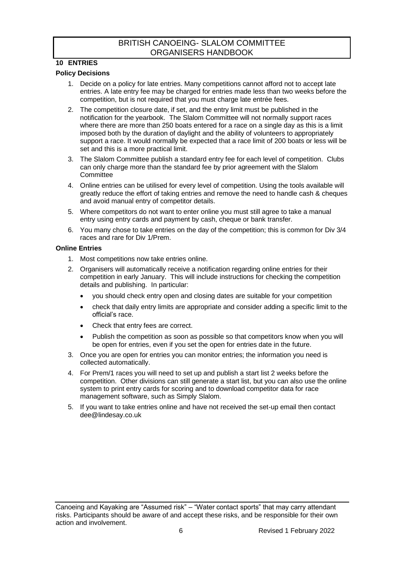## <span id="page-5-0"></span>**10 ENTRIES**

#### **Policy Decisions**

- 1. Decide on a policy for late entries. Many competitions cannot afford not to accept late entries. A late entry fee may be charged for entries made less than two weeks before the competition, but is not required that you must charge late entrée fees.
- 2. The competition closure date, if set, and the entry limit must be published in the notification for the yearbook. The Slalom Committee will not normally support races where there are more than 250 boats entered for a race on a single day as this is a limit imposed both by the duration of daylight and the ability of volunteers to appropriately support a race. It would normally be expected that a race limit of 200 boats or less will be set and this is a more practical limit.
- 3. The Slalom Committee publish a standard entry fee for each level of competition. Clubs can only charge more than the standard fee by prior agreement with the Slalom **Committee**
- 4. Online entries can be utilised for every level of competition. Using the tools available will greatly reduce the effort of taking entries and remove the need to handle cash & cheques and avoid manual entry of competitor details.
- 5. Where competitors do not want to enter online you must still agree to take a manual entry using entry cards and payment by cash, cheque or bank transfer.
- 6. You many chose to take entries on the day of the competition; this is common for Div 3/4 races and rare for Div 1/Prem.

#### **Online Entries**

- 1. Most competitions now take entries online.
- 2. Organisers will automatically receive a notification regarding online entries for their competition in early January. This will include instructions for checking the competition details and publishing. In particular:
	- you should check entry open and closing dates are suitable for your competition
	- check that daily entry limits are appropriate and consider adding a specific limit to the official's race.
	- Check that entry fees are correct.
	- Publish the competition as soon as possible so that competitors know when you will be open for entries, even if you set the open for entries date in the future.
- 3. Once you are open for entries you can monitor entries; the information you need is collected automatically.
- 4. For Prem/1 races you will need to set up and publish a start list 2 weeks before the competition. Other divisions can still generate a start list, but you can also use the online system to print entry cards for scoring and to download competitor data for race management software, such as Simply Slalom.
- 5. If you want to take entries online and have not received the set-up email then contact [dee@lindesay.co.uk](mailto:dee@lindesay.co.uk)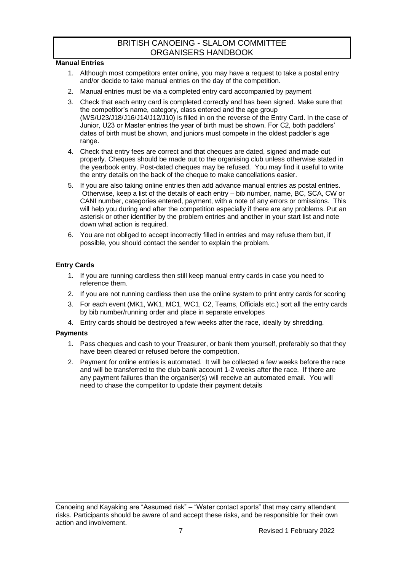#### **Manual Entries**

- 1. Although most competitors enter online, you may have a request to take a postal entry and/or decide to take manual entries on the day of the competition.
- 2. Manual entries must be via a completed entry card accompanied by payment
- 3. Check that each entry card is completed correctly and has been signed. Make sure that the competitor's name, category, class entered and the age group (M/S/U23/J18/J16/J14/J12/J10) is filled in on the reverse of the Entry Card. In the case of Junior, U23 or Master entries the year of birth must be shown. For C2, both paddlers' dates of birth must be shown, and juniors must compete in the oldest paddler's age range.
- 4. Check that entry fees are correct and that cheques are dated, signed and made out properly. Cheques should be made out to the organising club unless otherwise stated in the yearbook entry. Post-dated cheques may be refused. You may find it useful to write the entry details on the back of the cheque to make cancellations easier.
- 5. If you are also taking online entries then add advance manual entries as postal entries. Otherwise, keep a list of the details of each entry – bib number, name, BC, SCA, CW or CANI number, categories entered, payment, with a note of any errors or omissions. This will help you during and after the competition especially if there are any problems. Put an asterisk or other identifier by the problem entries and another in your start list and note down what action is required.
- 6. You are not obliged to accept incorrectly filled in entries and may refuse them but, if possible, you should contact the sender to explain the problem.

#### **Entry Cards**

- 1. If you are running cardless then still keep manual entry cards in case you need to reference them.
- 2. If you are not running cardless then use the online system to print entry cards for scoring
- 3. For each event (MK1, WK1, MC1, WC1, C2, Teams, Officials etc.) sort all the entry cards by bib number/running order and place in separate envelopes
- 4. Entry cards should be destroyed a few weeks after the race, ideally by shredding.

#### **Payments**

- 1. Pass cheques and cash to your Treasurer, or bank them yourself, preferably so that they have been cleared or refused before the competition.
- 2. Payment for online entries is automated. It will be collected a few weeks before the race and will be transferred to the club bank account 1-2 weeks after the race. If there are any payment failures than the organiser(s) will receive an automated email. You will need to chase the competitor to update their payment details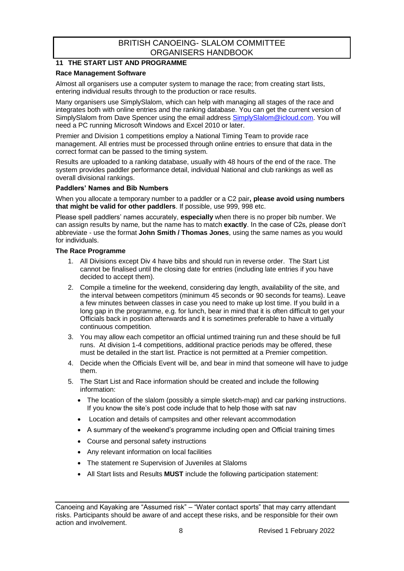## <span id="page-7-0"></span>**11 THE START LIST AND PROGRAMME**

#### **Race Management Software**

Almost all organisers use a computer system to manage the race; from creating start lists, entering individual results through to the production or race results.

Many organisers use SimplySlalom, which can help with managing all stages of the race and integrates both with online entries and the ranking database. You can get the current version of SimplySlalom from Dave Spencer using the email address [SimplySlalom@icloud.com.](mailto:SimplySlalom@icloud.com) You will need a PC running Microsoft Windows and Excel 2010 or later.

Premier and Division 1 competitions employ a National Timing Team to provide race management. All entries must be processed through online entries to ensure that data in the correct format can be passed to the timing system.

Results are uploaded to a ranking database, usually with 48 hours of the end of the race. The system provides paddler performance detail, individual National and club rankings as well as overall divisional rankings.

#### **Paddlers' Names and Bib Numbers**

When you allocate a temporary number to a paddler or a C2 pair**, please avoid using numbers that might be valid for other paddlers**. If possible, use 999, 998 etc.

Please spell paddlers' names accurately, **especially** when there is no proper bib number. We can assign results by name, but the name has to match **exactly**. In the case of C2s, please don't abbreviate - use the format **John Smith / Thomas Jones**, using the same names as you would for individuals.

#### **The Race Programme**

- 1. All Divisions except Div 4 have bibs and should run in reverse order. The Start List cannot be finalised until the closing date for entries (including late entries if you have decided to accept them).
- 2. Compile a timeline for the weekend, considering day length, availability of the site, and the interval between competitors (minimum 45 seconds or 90 seconds for teams). Leave a few minutes between classes in case you need to make up lost time. If you build in a long gap in the programme, e.g. for lunch, bear in mind that it is often difficult to get your Officials back in position afterwards and it is sometimes preferable to have a virtually continuous competition.
- 3. You may allow each competitor an official untimed training run and these should be full runs. At division 1-4 competitions, additional practice periods may be offered, these must be detailed in the start list. Practice is not permitted at a Premier competition.
- 4. Decide when the Officials Event will be, and bear in mind that someone will have to judge them.
- 5. The Start List and Race information should be created and include the following information:
	- The location of the slalom (possibly a simple sketch-map) and car parking instructions. If you know the site's post code include that to help those with sat nay
	- Location and details of campsites and other relevant accommodation
	- A summary of the weekend's programme including open and Official training times
	- Course and personal safety instructions
	- Any relevant information on local facilities
	- The statement re Supervision of Juveniles at Slaloms
	- All Start lists and Results **MUST** include the following participation statement:

Canoeing and Kayaking are "Assumed risk" – "Water contact sports" that may carry attendant risks. Participants should be aware of and accept these risks, and be responsible for their own action and involvement.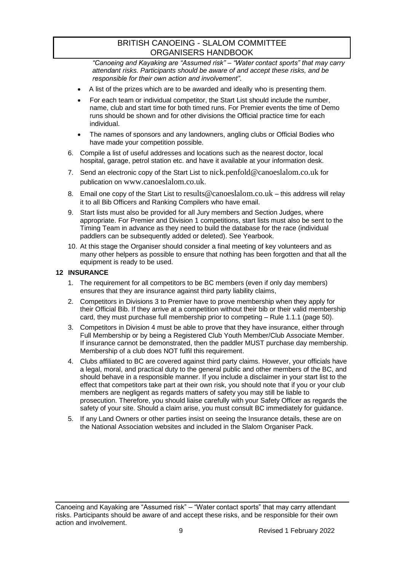*"Canoeing and Kayaking are "Assumed risk" – "Water contact sports" that may carry attendant risks. Participants should be aware of and accept these risks, and be responsible for their own action and involvement".*

- A list of the prizes which are to be awarded and ideally who is presenting them.
- For each team or individual competitor, the Start List should include the number, name, club and start time for both timed runs. For Premier events the time of Demo runs should be shown and for other divisions the Official practice time for each individual.
- The names of sponsors and any landowners, angling clubs or Official Bodies who have made your competition possible.
- 6. Compile a list of useful addresses and locations such as the nearest doctor, local hospital, garage, petrol station etc. and have it available at your information desk.
- 7. Send an electronic copy of the Start List to [nick.penfold@canoeslalom.co.uk](mailto:nick.penfold@canoeslalom.co.uk) for publication on [www.canoeslalom.co.uk](http://www.canoeslalom.co.uk/).
- 8. Email one copy of the Start List to [results@canoeslalom.co.uk](mailto:results@canoeslalom.co.uk) this address will relay it to all Bib Officers and Ranking Compilers who have email.
- 9. Start lists must also be provided for all Jury members and Section Judges, where appropriate. For Premier and Division 1 competitions, start lists must also be sent to the Timing Team in advance as they need to build the database for the race (individual paddlers can be subsequently added or deleted). See Yearbook.
- 10. At this stage the Organiser should consider a final meeting of key volunteers and as many other helpers as possible to ensure that nothing has been forgotten and that all the equipment is ready to be used.

#### <span id="page-8-0"></span>**12 INSURANCE**

- 1. The requirement for all competitors to be BC members (even if only day members) ensures that they are insurance against third party liability claims,
- 2. Competitors in Divisions 3 to Premier have to prove membership when they apply for their Official Bib. If they arrive at a competition without their bib or their valid membership card, they must purchase full membership prior to competing – Rule 1.1.1 (page 50).
- 3. Competitors in Division 4 must be able to prove that they have insurance, either through Full Membership or by being a Registered Club Youth Member/Club Associate Member. If insurance cannot be demonstrated, then the paddler MUST purchase day membership. Membership of a club does NOT fulfil this requirement.
- 4. Clubs affiliated to BC are covered against third party claims. However, your officials have a legal, moral, and practical duty to the general public and other members of the BC, and should behave in a responsible manner. If you include a disclaimer in your start list to the effect that competitors take part at their own risk, you should note that if you or your club members are negligent as regards matters of safety you may still be liable to prosecution. Therefore, you should liaise carefully with your Safety Officer as regards the safety of your site. Should a claim arise, you must consult BC immediately for guidance.
- 5. If any Land Owners or other parties insist on seeing the Insurance details, these are on the National Association websites and included in the Slalom Organiser Pack.

Canoeing and Kayaking are "Assumed risk" – "Water contact sports" that may carry attendant risks. Participants should be aware of and accept these risks, and be responsible for their own action and involvement.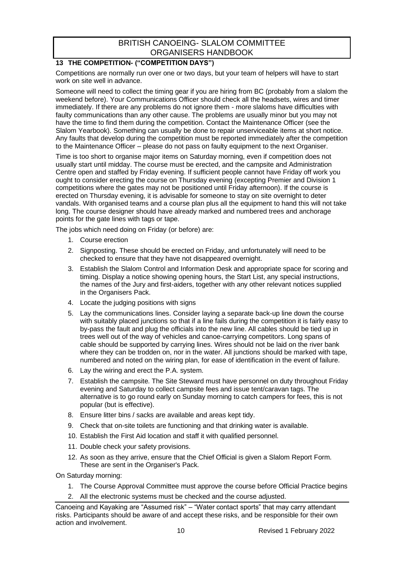## <span id="page-9-0"></span>**13 THE COMPETITION- ("COMPETITION DAYS")**

Competitions are normally run over one or two days, but your team of helpers will have to start work on site well in advance.

Someone will need to collect the timing gear if you are hiring from BC (probably from a slalom the weekend before). Your Communications Officer should check all the headsets, wires and timer immediately. If there are any problems do not ignore them - more slaloms have difficulties with faulty communications than any other cause. The problems are usually minor but you may not have the time to find them during the competition. Contact the Maintenance Officer (see the Slalom Yearbook). Something can usually be done to repair unserviceable items at short notice. Any faults that develop during the competition must be reported immediately after the competition to the Maintenance Officer – please do not pass on faulty equipment to the next Organiser.

Time is too short to organise major items on Saturday morning, even if competition does not usually start until midday. The course must be erected, and the campsite and Administration Centre open and staffed by Friday evening. If sufficient people cannot have Friday off work you ought to consider erecting the course on Thursday evening (excepting Premier and Division 1 competitions where the gates may not be positioned until Friday afternoon). If the course is erected on Thursday evening, it is advisable for someone to stay on site overnight to deter vandals. With organised teams and a course plan plus all the equipment to hand this will not take long. The course designer should have already marked and numbered trees and anchorage points for the gate lines with tags or tape.

The jobs which need doing on Friday (or before) are:

- 1. Course erection
- 2. Signposting. These should be erected on Friday, and unfortunately will need to be checked to ensure that they have not disappeared overnight.
- 3. Establish the Slalom Control and Information Desk and appropriate space for scoring and timing. Display a notice showing opening hours, the Start List, any special instructions, the names of the Jury and first-aiders, together with any other relevant notices supplied in the Organisers Pack.
- 4. Locate the judging positions with signs
- 5. Lay the communications lines. Consider laying a separate back-up line down the course with suitably placed junctions so that if a line fails during the competition it is fairly easy to by-pass the fault and plug the officials into the new line. All cables should be tied up in trees well out of the way of vehicles and canoe-carrying competitors. Long spans of cable should be supported by carrying lines. Wires should not be laid on the river bank where they can be trodden on, nor in the water. All junctions should be marked with tape, numbered and noted on the wiring plan, for ease of identification in the event of failure.
- 6. Lay the wiring and erect the P.A. system.
- 7. Establish the campsite. The Site Steward must have personnel on duty throughout Friday evening and Saturday to collect campsite fees and issue tent/caravan tags. The alternative is to go round early on Sunday morning to catch campers for fees, this is not popular (but is effective).
- 8. Ensure litter bins / sacks are available and areas kept tidy.
- 9. Check that on-site toilets are functioning and that drinking water is available.
- 10. Establish the First Aid location and staff it with qualified personnel.
- 11. Double check your safety provisions.
- 12. As soon as they arrive, ensure that the Chief Official is given a Slalom Report Form. These are sent in the Organiser's Pack.
- On Saturday morning:
	- 1. The Course Approval Committee must approve the course before Official Practice begins
	- 2. All the electronic systems must be checked and the course adjusted.

Canoeing and Kayaking are "Assumed risk" – "Water contact sports" that may carry attendant risks. Participants should be aware of and accept these risks, and be responsible for their own action and involvement.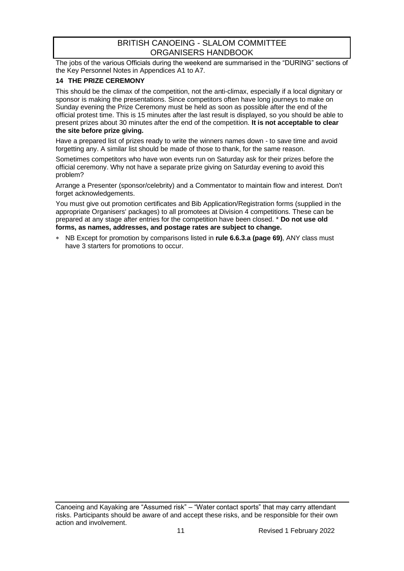The jobs of the various Officials during the weekend are summarised in the "DURING" sections of the Key Personnel Notes in Appendices A1 to A7.

## <span id="page-10-0"></span>**14 THE PRIZE CEREMONY**

This should be the climax of the competition, not the anti-climax, especially if a local dignitary or sponsor is making the presentations. Since competitors often have long journeys to make on Sunday evening the Prize Ceremony must be held as soon as possible after the end of the official protest time. This is 15 minutes after the last result is displayed, so you should be able to present prizes about 30 minutes after the end of the competition. **It is not acceptable to clear the site before prize giving.**

Have a prepared list of prizes ready to write the winners names down - to save time and avoid forgetting any. A similar list should be made of those to thank, for the same reason.

Sometimes competitors who have won events run on Saturday ask for their prizes before the official ceremony. Why not have a separate prize giving on Saturday evening to avoid this problem?

Arrange a Presenter (sponsor/celebrity) and a Commentator to maintain flow and interest. Don't forget acknowledgements.

You must give out promotion certificates and Bib Application/Registration forms (supplied in the appropriate Organisers' packages) to all promotees at Division 4 competitions. These can be prepared at any stage after entries for the competition have been closed. \* **Do not use old forms, as names, addresses, and postage rates are subject to change.**

 NB Except for promotion by comparisons listed in **rule 6.6.3.a (page 69)**, ANY class must have 3 starters for promotions to occur.

Canoeing and Kayaking are "Assumed risk" – "Water contact sports" that may carry attendant risks. Participants should be aware of and accept these risks, and be responsible for their own action and involvement.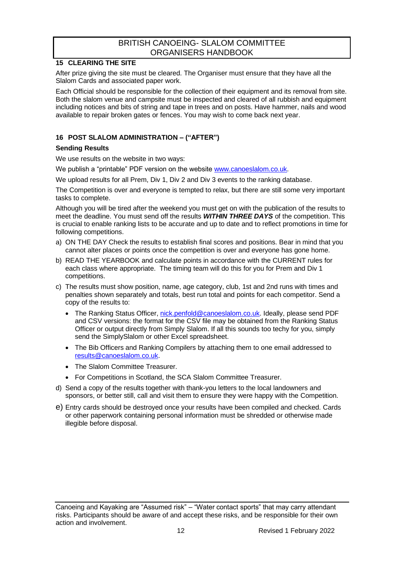## <span id="page-11-0"></span>**15 CLEARING THE SITE**

After prize giving the site must be cleared. The Organiser must ensure that they have all the Slalom Cards and associated paper work.

Each Official should be responsible for the collection of their equipment and its removal from site. Both the slalom venue and campsite must be inspected and cleared of all rubbish and equipment including notices and bits of string and tape in trees and on posts. Have hammer, nails and wood available to repair broken gates or fences. You may wish to come back next year.

## <span id="page-11-1"></span>**16 POST SLALOM ADMINISTRATION – ("AFTER")**

#### **Sending Results**

We use results on the website in two ways:

We publish a "printable" PDF version on the websit[e www.canoeslalom.co.uk.](http://www.canoeslalom.co.uk/)

We upload results for all Prem, Div 1, Div 2 and Div 3 events to the ranking database.

The Competition is over and everyone is tempted to relax, but there are still some very important tasks to complete.

Although you will be tired after the weekend you must get on with the publication of the results to meet the deadline. You must send off the results *WITHIN THREE DAYS* of the competition. This is crucial to enable ranking lists to be accurate and up to date and to reflect promotions in time for following competitions.

- a) ON THE DAY Check the results to establish final scores and positions. Bear in mind that you cannot alter places or points once the competition is over and everyone has gone home.
- b) READ THE YEARBOOK and calculate points in accordance with the CURRENT rules for each class where appropriate. The timing team will do this for you for Prem and Div 1 competitions.
- c) The results must show position, name, age category, club, 1st and 2nd runs with times and penalties shown separately and totals, best run total and points for each competitor. Send a copy of the results to:
	- The Ranking Status Officer, [nick.penfold@canoeslalom.co.uk.](mailto:nick.penfold@canoeslalom.co.uk) Ideally, please send PDF and CSV versions: the format for the CSV file may be obtained from the Ranking Status Officer or output directly from Simply Slalom. If all this sounds too techy for you, simply send the SimplySlalom or other Excel spreadsheet.
	- The Bib Officers and Ranking Compilers by attaching them to one email addressed to [results@canoeslalom.co.uk.](mailto:results@canoeslalom.co.uk)
	- The Slalom Committee Treasurer.
	- For Competitions in Scotland, the SCA Slalom Committee Treasurer.
- d) Send a copy of the results together with thank-you letters to the local landowners and sponsors, or better still, call and visit them to ensure they were happy with the Competition.
- e) Entry cards should be destroyed once your results have been compiled and checked. Cards or other paperwork containing personal information must be shredded or otherwise made illegible before disposal.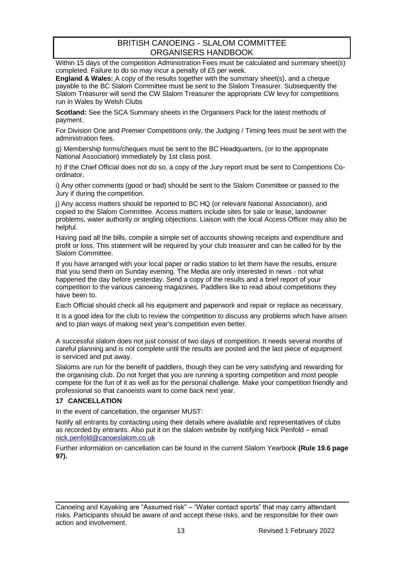Within 15 days of the competition Administration Fees must be calculated and summary sheet(s) completed. Failure to do so may incur a penalty of £5 per week.

**England & Wales:** A copy of the results together with the summary sheet(s), and a cheque payable to the BC Slalom Committee must be sent to the Slalom Treasurer. Subsequently the Slalom Treasurer will send the CW Slalom Treasurer the appropriate CW levy for competitions run in Wales by Welsh Clubs

**Scotland:** See the SCA Summary sheets in the Organisers Pack for the latest methods of payment.

For Division One and Premier Competitions only, the Judging / Timing fees must be sent with the administration fees.

g) Membership forms/cheques must be sent to the BC Headquarters, (or to the appropriate National Association) immediately by 1st class post.

h) If the Chief Official does not do so, a copy of the Jury report must be sent to Competitions Coordinator.

i) Any other comments (good or bad) should be sent to the Slalom Committee or passed to the Jury if during the competition.

j) Any access matters should be reported to BC HQ (or relevant National Association), and copied to the Slalom Committee. Access matters include sites for sale or lease, landowner problems, water authority or angling objections. Liaison with the local Access Officer may also be helpful.

Having paid all the bills, compile a simple set of accounts showing receipts and expenditure and profit or loss. This statement will be required by your club treasurer and can be called for by the Slalom Committee.

If you have arranged with your local paper or radio station to let them have the results, ensure that you send them on Sunday evening. The Media are only interested in news - not what happened the day before yesterday. Send a copy of the results and a brief report of your competition to the various canoeing magazines. Paddlers like to read about competitions they have been to.

Each Official should check all his equipment and paperwork and repair or replace as necessary.

It is a good idea for the club to review the competition to discuss any problems which have arisen and to plan ways of making next year's competition even better.

A successful slalom does not just consist of two days of competition. It needs several months of careful planning and is not complete until the results are posted and the last piece of equipment is serviced and put away.

Slaloms are run for the benefit of paddlers, though they can be very satisfying and rewarding for the organising club. Do not forget that you are running a sporting competition and most people compete for the fun of it as well as for the personal challenge. Make your competition friendly and professional so that canoeists want to come back next year.

#### <span id="page-12-0"></span>**17 CANCELLATION**

In the event of cancellation, the organiser MUST:

Notify all entrants by contacting using their details where available and representatives of clubs as recorded by entrants. Also put it on the slalom website by notifying Nick Penfold – email [nick.penfold@canoeslalom.co.uk](mailto:nick.penfold@canoeslalom.co.uk)

Further information on cancellation can be found in the current Slalom Yearbook **(Rule 19.6 page 97).**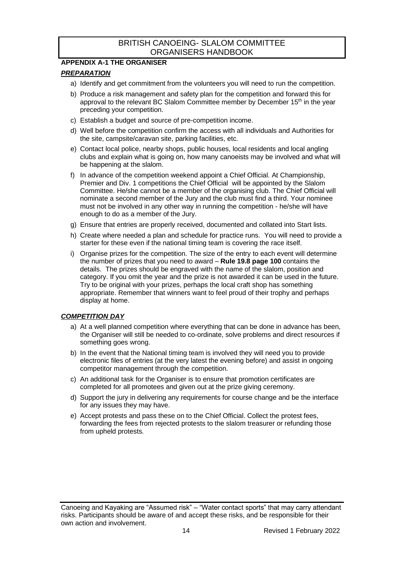## <span id="page-13-0"></span>**APPENDIX A-1 THE ORGANISER**

#### *PREPARATION*

- a) Identify and get commitment from the volunteers you will need to run the competition.
- b) Produce a risk management and safety plan for the competition and forward this for approval to the relevant BC Slalom Committee member by December 15<sup>th</sup> in the year preceding your competition.
- c) Establish a budget and source of pre-competition income.
- d) Well before the competition confirm the access with all individuals and Authorities for the site, campsite/caravan site, parking facilities, etc.
- e) Contact local police, nearby shops, public houses, local residents and local angling clubs and explain what is going on, how many canoeists may be involved and what will be happening at the slalom.
- f) In advance of the competition weekend appoint a Chief Official. At Championship, Premier and Div. 1 competitions the Chief Official will be appointed by the Slalom Committee. He/she cannot be a member of the organising club. The Chief Official will nominate a second member of the Jury and the club must find a third. Your nominee must not be involved in any other way in running the competition - he/she will have enough to do as a member of the Jury.
- g) Ensure that entries are properly received, documented and collated into Start lists.
- h) Create where needed a plan and schedule for practice runs. You will need to provide a starter for these even if the national timing team is covering the race itself.
- i) Organise prizes for the competition. The size of the entry to each event will determine the number of prizes that you need to award – **Rule 19.8 page 100** contains the details. The prizes should be engraved with the name of the slalom, position and category. If you omit the year and the prize is not awarded it can be used in the future. Try to be original with your prizes, perhaps the local craft shop has something appropriate. Remember that winners want to feel proud of their trophy and perhaps display at home.

#### *COMPETITION DAY*

- a) At a well planned competition where everything that can be done in advance has been, the Organiser will still be needed to co-ordinate, solve problems and direct resources if something goes wrong.
- b) In the event that the National timing team is involved they will need you to provide electronic files of entries (at the very latest the evening before) and assist in ongoing competitor management through the competition.
- c) An additional task for the Organiser is to ensure that promotion certificates are completed for all promotees and given out at the prize giving ceremony.
- d) Support the jury in delivering any requirements for course change and be the interface for any issues they may have.
- e) Accept protests and pass these on to the Chief Official. Collect the protest fees, forwarding the fees from rejected protests to the slalom treasurer or refunding those from upheld protests.

Canoeing and Kayaking are "Assumed risk" – "Water contact sports" that may carry attendant risks. Participants should be aware of and accept these risks, and be responsible for their own action and involvement.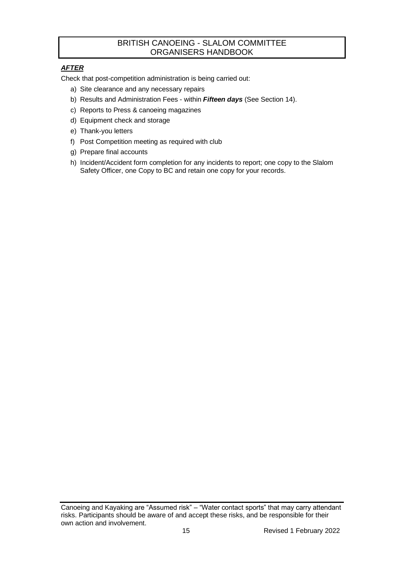## *AFTER*

Check that post-competition administration is being carried out:

- a) Site clearance and any necessary repairs
- b) Results and Administration Fees within *Fifteen days* (See Section 14).
- c) Reports to Press & canoeing magazines
- d) Equipment check and storage
- e) Thank-you letters
- f) Post Competition meeting as required with club
- g) Prepare final accounts
- h) Incident/Accident form completion for any incidents to report; one copy to the Slalom Safety Officer, one Copy to BC and retain one copy for your records.

Canoeing and Kayaking are "Assumed risk" – "Water contact sports" that may carry attendant risks. Participants should be aware of and accept these risks, and be responsible for their own action and involvement.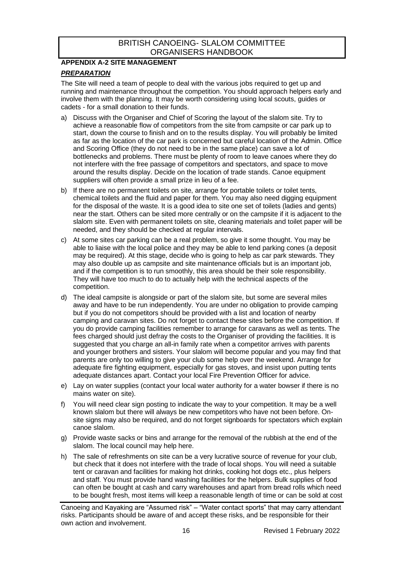## <span id="page-15-0"></span>**APPENDIX A-2 SITE MANAGEMENT**

#### *PREPARATION*

The Site will need a team of people to deal with the various jobs required to get up and running and maintenance throughout the competition. You should approach helpers early and involve them with the planning. It may be worth considering using local scouts, guides or cadets - for a small donation to their funds.

- a) Discuss with the Organiser and Chief of Scoring the layout of the slalom site. Try to achieve a reasonable flow of competitors from the site from campsite or car park up to start, down the course to finish and on to the results display. You will probably be limited as far as the location of the car park is concerned but careful location of the Admin. Office and Scoring Office (they do not need to be in the same place) can save a lot of bottlenecks and problems. There must be plenty of room to leave canoes where they do not interfere with the free passage of competitors and spectators, and space to move around the results display. Decide on the location of trade stands. Canoe equipment suppliers will often provide a small prize in lieu of a fee.
- b) If there are no permanent toilets on site, arrange for portable toilets or toilet tents, chemical toilets and the fluid and paper for them. You may also need digging equipment for the disposal of the waste. It is a good idea to site one set of toilets (ladies and gents) near the start. Others can be sited more centrally or on the campsite if it is adjacent to the slalom site. Even with permanent toilets on site, cleaning materials and toilet paper will be needed, and they should be checked at regular intervals.
- c) At some sites car parking can be a real problem, so give it some thought. You may be able to liaise with the local police and they may be able to lend parking cones (a deposit may be required). At this stage, decide who is going to help as car park stewards. They may also double up as campsite and site maintenance officials but is an important job, and if the competition is to run smoothly, this area should be their sole responsibility. They will have too much to do to actually help with the technical aspects of the competition.
- d) The ideal campsite is alongside or part of the slalom site, but some are several miles away and have to be run independently. You are under no obligation to provide camping but if you do not competitors should be provided with a list and location of nearby camping and caravan sites. Do not forget to contact these sites before the competition. If you do provide camping facilities remember to arrange for caravans as well as tents. The fees charged should just defray the costs to the Organiser of providing the facilities. It is suggested that you charge an all-in family rate when a competitor arrives with parents and younger brothers and sisters. Your slalom will become popular and you may find that parents are only too willing to give your club some help over the weekend. Arrange for adequate fire fighting equipment, especially for gas stoves, and insist upon putting tents adequate distances apart. Contact your local Fire Prevention Officer for advice.
- e) Lay on water supplies (contact your local water authority for a water bowser if there is no mains water on site).
- f) You will need clear sign posting to indicate the way to your competition. It may be a well known slalom but there will always be new competitors who have not been before. Onsite signs may also be required, and do not forget signboards for spectators which explain canoe slalom.
- g) Provide waste sacks or bins and arrange for the removal of the rubbish at the end of the slalom. The local council may help here.
- h) The sale of refreshments on site can be a very lucrative source of revenue for your club, but check that it does not interfere with the trade of local shops. You will need a suitable tent or caravan and facilities for making hot drinks, cooking hot dogs etc., plus helpers and staff. You must provide hand washing facilities for the helpers. Bulk supplies of food can often be bought at cash and carry warehouses and apart from bread rolls which need to be bought fresh, most items will keep a reasonable length of time or can be sold at cost

Canoeing and Kayaking are "Assumed risk" – "Water contact sports" that may carry attendant risks. Participants should be aware of and accept these risks, and be responsible for their own action and involvement.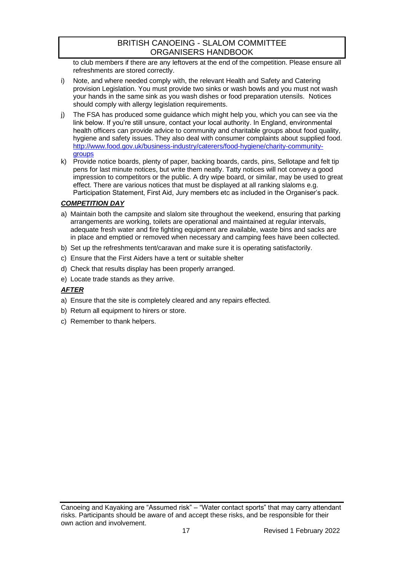to club members if there are any leftovers at the end of the competition. Please ensure all refreshments are stored correctly.

- i) Note, and where needed comply with, the relevant Health and Safety and Catering provision Legislation. You must provide two sinks or wash bowls and you must not wash your hands in the same sink as you wash dishes or food preparation utensils. Notices should comply with allergy legislation requirements.
- j) The FSA has produced some guidance which might help you, which you can see via the link below. If you're still unsure, contact your local authority. In England, environmental health officers can provide advice to community and charitable groups about food quality, hygiene and safety issues. They also deal with consumer complaints about supplied food. [http://www.food.gov.uk/business-industry/caterers/food-hygiene/charity-community](http://www.food.gov.uk/business-industry/caterers/food-hygiene/charity-community-groups)**[groups](http://www.food.gov.uk/business-industry/caterers/food-hygiene/charity-community-groups)**
- k) Provide notice boards, plenty of paper, backing boards, cards, pins, Sellotape and felt tip pens for last minute notices, but write them neatly. Tatty notices will not convey a good impression to competitors or the public. A dry wipe board, or similar, may be used to great effect. There are various notices that must be displayed at all ranking slaloms e.g. Participation Statement, First Aid, Jury members etc as included in the Organiser's pack.

## *COMPETITION DAY*

- a) Maintain both the campsite and slalom site throughout the weekend, ensuring that parking arrangements are working, toilets are operational and maintained at regular intervals, adequate fresh water and fire fighting equipment are available, waste bins and sacks are in place and emptied or removed when necessary and camping fees have been collected.
- b) Set up the refreshments tent/caravan and make sure it is operating satisfactorily.
- c) Ensure that the First Aiders have a tent or suitable shelter
- d) Check that results display has been properly arranged.
- e) Locate trade stands as they arrive.

## *AFTER*

- a) Ensure that the site is completely cleared and any repairs effected.
- b) Return all equipment to hirers or store.
- c) Remember to thank helpers.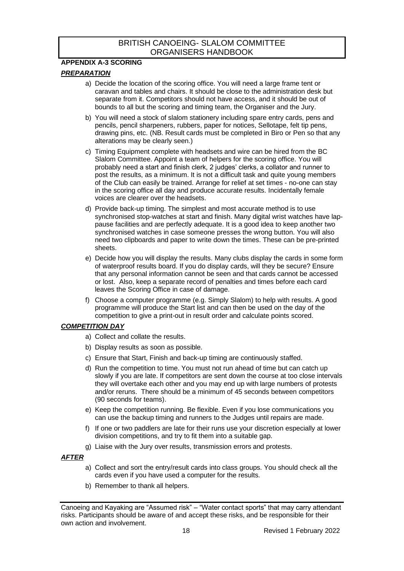## <span id="page-17-0"></span>**APPENDIX A-3 SCORING**

## *PREPARATION*

- a) Decide the location of the scoring office. You will need a large frame tent or caravan and tables and chairs. It should be close to the administration desk but separate from it. Competitors should not have access, and it should be out of bounds to all but the scoring and timing team, the Organiser and the Jury.
- b) You will need a stock of slalom stationery including spare entry cards, pens and pencils, pencil sharpeners, rubbers, paper for notices, Sellotape, felt tip pens, drawing pins, etc. (NB. Result cards must be completed in Biro or Pen so that any alterations may be clearly seen.)
- c) Timing Equipment complete with headsets and wire can be hired from the BC Slalom Committee. Appoint a team of helpers for the scoring office. You will probably need a start and finish clerk, 2 judges' clerks, a collator and runner to post the results, as a minimum. It is not a difficult task and quite young members of the Club can easily be trained. Arrange for relief at set times - no-one can stay in the scoring office all day and produce accurate results. Incidentally female voices are clearer over the headsets.
- d) Provide back-up timing. The simplest and most accurate method is to use synchronised stop-watches at start and finish. Many digital wrist watches have lappause facilities and are perfectly adequate. It is a good idea to keep another two synchronised watches in case someone presses the wrong button. You will also need two clipboards and paper to write down the times. These can be pre-printed sheets.
- e) Decide how you will display the results. Many clubs display the cards in some form of waterproof results board. If you do display cards, will they be secure? Ensure that any personal information cannot be seen and that cards cannot be accessed or lost. Also, keep a separate record of penalties and times before each card leaves the Scoring Office in case of damage.
- f) Choose a computer programme (e.g. Simply Slalom) to help with results. A good programme will produce the Start list and can then be used on the day of the competition to give a print-out in result order and calculate points scored.

## *COMPETITION DAY*

- a) Collect and collate the results.
- b) Display results as soon as possible.
- c) Ensure that Start, Finish and back-up timing are continuously staffed.
- d) Run the competition to time. You must not run ahead of time but can catch up slowly if you are late. If competitors are sent down the course at too close intervals they will overtake each other and you may end up with large numbers of protests and/or reruns. There should be a minimum of 45 seconds between competitors (90 seconds for teams).
- e) Keep the competition running. Be flexible. Even if you lose communications you can use the backup timing and runners to the Judges until repairs are made.
- f) If one or two paddlers are late for their runs use your discretion especially at lower division competitions, and try to fit them into a suitable gap.
- g) Liaise with the Jury over results, transmission errors and protests.

#### *AFTER*

- a) Collect and sort the entry/result cards into class groups. You should check all the cards even if you have used a computer for the results.
- b) Remember to thank all helpers.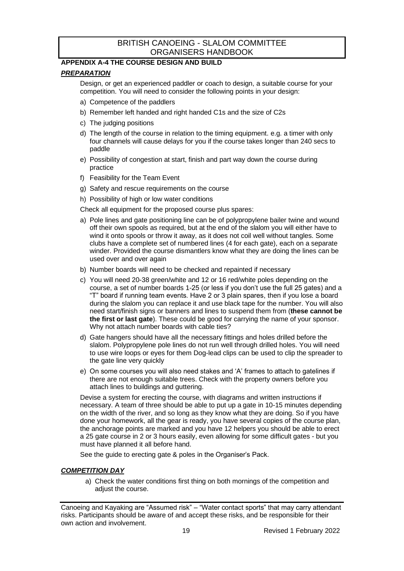## <span id="page-18-0"></span>**APPENDIX A-4 THE COURSE DESIGN AND BUILD**

#### *PREPARATION*

Design, or get an experienced paddler or coach to design, a suitable course for your competition. You will need to consider the following points in your design:

- a) Competence of the paddlers
- b) Remember left handed and right handed C1s and the size of C2s
- c) The judging positions
- d) The length of the course in relation to the timing equipment. e.g. a timer with only four channels will cause delays for you if the course takes longer than 240 secs to paddle
- e) Possibility of congestion at start, finish and part way down the course during practice
- f) Feasibility for the Team Event
- g) Safety and rescue requirements on the course
- h) Possibility of high or low water conditions

Check all equipment for the proposed course plus spares:

- a) Pole lines and gate positioning line can be of polypropylene bailer twine and wound off their own spools as required, but at the end of the slalom you will either have to wind it onto spools or throw it away, as it does not coil well without tangles. Some clubs have a complete set of numbered lines (4 for each gate), each on a separate winder. Provided the course dismantlers know what they are doing the lines can be used over and over again
- b) Number boards will need to be checked and repainted if necessary
- c) You will need 20-38 green/white and 12 or 16 red/white poles depending on the course, a set of number boards 1-25 (or less if you don't use the full 25 gates) and a "T" board if running team events. Have 2 or 3 plain spares, then if you lose a board during the slalom you can replace it and use black tape for the number. You will also need start/finish signs or banners and lines to suspend them from (**these cannot be the first or last gate**). These could be good for carrying the name of your sponsor. Why not attach number boards with cable ties?
- d) Gate hangers should have all the necessary fittings and holes drilled before the slalom. Polypropylene pole lines do not run well through drilled holes. You will need to use wire loops or eyes for them Dog-lead clips can be used to clip the spreader to the gate line very quickly
- e) On some courses you will also need stakes and 'A' frames to attach to gatelines if there are not enough suitable trees. Check with the property owners before you attach lines to buildings and guttering.

Devise a system for erecting the course, with diagrams and written instructions if necessary. A team of three should be able to put up a gate in 10-15 minutes depending on the width of the river, and so long as they know what they are doing. So if you have done your homework, all the gear is ready, you have several copies of the course plan, the anchorage points are marked and you have 12 helpers you should be able to erect a 25 gate course in 2 or 3 hours easily, even allowing for some difficult gates - but you must have planned it all before hand.

See the guide to erecting gate & poles in the Organiser's Pack.

#### *COMPETITION DAY*

a) Check the water conditions first thing on both mornings of the competition and adiust the course.

Canoeing and Kayaking are "Assumed risk" – "Water contact sports" that may carry attendant risks. Participants should be aware of and accept these risks, and be responsible for their own action and involvement.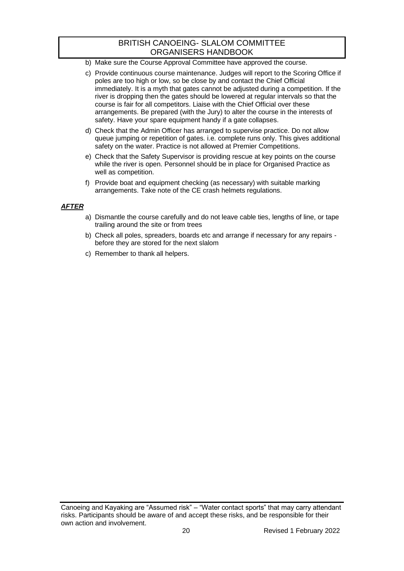- b) Make sure the Course Approval Committee have approved the course.
- c) Provide continuous course maintenance. Judges will report to the Scoring Office if poles are too high or low, so be close by and contact the Chief Official immediately. It is a myth that gates cannot be adjusted during a competition. If the river is dropping then the gates should be lowered at regular intervals so that the course is fair for all competitors. Liaise with the Chief Official over these arrangements. Be prepared (with the Jury) to alter the course in the interests of safety. Have your spare equipment handy if a gate collapses.
- d) Check that the Admin Officer has arranged to supervise practice. Do not allow queue jumping or repetition of gates. i.e. complete runs only. This gives additional safety on the water. Practice is not allowed at Premier Competitions.
- e) Check that the Safety Supervisor is providing rescue at key points on the course while the river is open. Personnel should be in place for Organised Practice as well as competition.
- f) Provide boat and equipment checking (as necessary) with suitable marking arrangements. Take note of the CE crash helmets regulations.

#### *AFTER*

- a) Dismantle the course carefully and do not leave cable ties, lengths of line, or tape trailing around the site or from trees
- b) Check all poles, spreaders, boards etc and arrange if necessary for any repairs before they are stored for the next slalom
- c) Remember to thank all helpers.

Canoeing and Kayaking are "Assumed risk" – "Water contact sports" that may carry attendant risks. Participants should be aware of and accept these risks, and be responsible for their own action and involvement.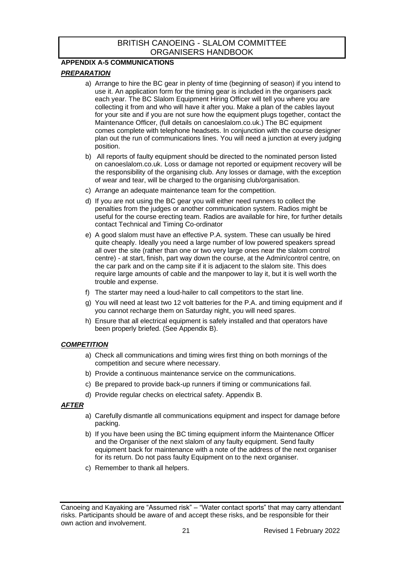## <span id="page-20-0"></span>**APPENDIX A-5 COMMUNICATIONS**

## *PREPARATION*

- a) Arrange to hire the BC gear in plenty of time (beginning of season) if you intend to use it. An application form for the timing gear is included in the organisers pack each year. The BC Slalom Equipment Hiring Officer will tell you where you are collecting it from and who will have it after you. Make a plan of the cables layout for your site and if you are not sure how the equipment plugs together, contact the Maintenance Officer, (full details on canoeslalom.co.uk.) The BC equipment comes complete with telephone headsets. In conjunction with the course designer plan out the run of communications lines. You will need a junction at every judging position.
- b) All reports of faulty equipment should be directed to the nominated person listed on canoeslalom.co.uk. Loss or damage not reported or equipment recovery will be the responsibility of the organising club. Any losses or damage, with the exception of wear and tear, will be charged to the organising club/organisation.
- c) Arrange an adequate maintenance team for the competition.
- d) If you are not using the BC gear you will either need runners to collect the penalties from the judges or another communication system. Radios might be useful for the course erecting team. Radios are available for hire, for further details contact Technical and Timing Co-ordinator
- e) A good slalom must have an effective P.A. system. These can usually be hired quite cheaply. Ideally you need a large number of low powered speakers spread all over the site (rather than one or two very large ones near the slalom control centre) - at start, finish, part way down the course, at the Admin/control centre, on the car park and on the camp site if it is adjacent to the slalom site. This does require large amounts of cable and the manpower to lay it, but it is well worth the trouble and expense.
- f) The starter may need a loud-hailer to call competitors to the start line.
- g) You will need at least two 12 volt batteries for the P.A. and timing equipment and if you cannot recharge them on Saturday night, you will need spares.
- h) Ensure that all electrical equipment is safely installed and that operators have been properly briefed. (See Appendix B).

#### *COMPETITION*

- a) Check all communications and timing wires first thing on both mornings of the competition and secure where necessary.
- b) Provide a continuous maintenance service on the communications.
- c) Be prepared to provide back-up runners if timing or communications fail.
- d) Provide regular checks on electrical safety. Appendix B.

#### *AFTER*

- a) Carefully dismantle all communications equipment and inspect for damage before packing.
- b) If you have been using the BC timing equipment inform the Maintenance Officer and the Organiser of the next slalom of any faulty equipment. Send faulty equipment back for maintenance with a note of the address of the next organiser for its return. Do not pass faulty Equipment on to the next organiser.
- c) Remember to thank all helpers.

Canoeing and Kayaking are "Assumed risk" – "Water contact sports" that may carry attendant risks. Participants should be aware of and accept these risks, and be responsible for their own action and involvement.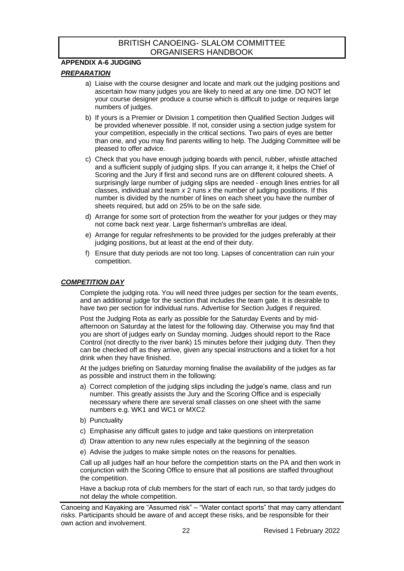#### <span id="page-21-0"></span>**APPENDIX A-6 JUDGING**

## *PREPARATION*

- a) Liaise with the course designer and locate and mark out the judging positions and ascertain how many judges you are likely to need at any one time. DO NOT let your course designer produce a course which is difficult to judge or requires large numbers of judges.
- b) If yours is a Premier or Division 1 competition then Qualified Section Judges will be provided whenever possible. If not, consider using a section judge system for your competition, especially in the critical sections. Two pairs of eyes are better than one, and you may find parents willing to help. The Judging Committee will be pleased to offer advice.
- c) Check that you have enough judging boards with pencil, rubber, whistle attached and a sufficient supply of judging slips. If you can arrange it, it helps the Chief of Scoring and the Jury if first and second runs are on different coloured sheets. A surprisingly large number of judging slips are needed - enough lines entries for all classes, individual and team *x* 2 runs *x* the number of judging positions. If this number is divided by the number of lines on each sheet you have the number of sheets required, but add on 25% to be on the safe side.
- d) Arrange for some sort of protection from the weather for your judges or they may not come back next year. Large fisherman's umbrellas are ideal.
- e) Arrange for regular refreshments to be provided for the judges preferably at their judging positions, but at least at the end of their duty.
- f) Ensure that duty periods are not too long. Lapses of concentration can ruin your competition.

## *COMPETITION DAY*

Complete the judging rota. You will need three judges per section for the team events, and an additional judge for the section that includes the team gate. It is desirable to have two per section for individual runs. Advertise for Section Judges if required.

Post the Judging Rota as early as possible for the Saturday Events and by midafternoon on Saturday at the latest for the following day. Otherwise you may find that you are short of judges early on Sunday morning. Judges should report to the Race Control (not directly to the river bank) 15 minutes before their judging duty. Then they can be checked off as they arrive, given any special instructions and a ticket for a hot drink when they have finished.

At the judges briefing on Saturday morning finalise the availability of the judges as far as possible and instruct them in the following:

- a) Correct completion of the judging slips including the judge's name, class and run number. This greatly assists the Jury and the Scoring Office and is especially necessary where there are several small classes on one sheet with the same numbers e.g. WK1 and WC1 or MXC2
- b) Punctuality
- c) Emphasise any difficult gates to judge and take questions on interpretation
- d) Draw attention to any new rules especially at the beginning of the season
- e) Advise the judges to make simple notes on the reasons for penalties.

Call up all judges half an hour before the competition starts on the PA and then work in conjunction with the Scoring Office to ensure that all positions are staffed throughout the competition.

Have a backup rota of club members for the start of each run, so that tardy judges do not delay the whole competition.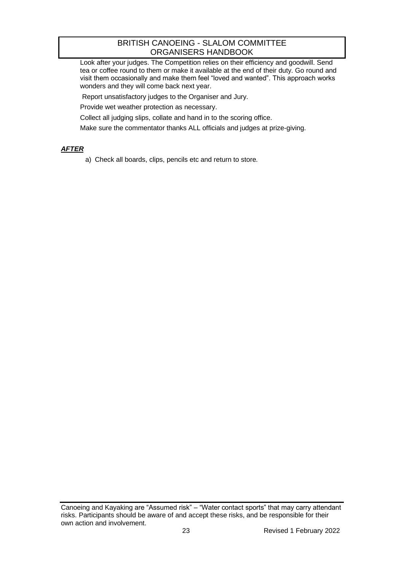Look after your judges. The Competition relies on their efficiency and goodwill. Send tea or coffee round to them or make it available at the end of their duty. Go round and visit them occasionally and make them feel "loved and wanted". This approach works wonders and they will come back next year.

Report unsatisfactory judges to the Organiser and Jury.

Provide wet weather protection as necessary.

Collect all judging slips, collate and hand in to the scoring office.

Make sure the commentator thanks ALL officials and judges at prize-giving.

## *AFTER*

a) Check all boards, clips, pencils etc and return to store.

Canoeing and Kayaking are "Assumed risk" – "Water contact sports" that may carry attendant risks. Participants should be aware of and accept these risks, and be responsible for their own action and involvement.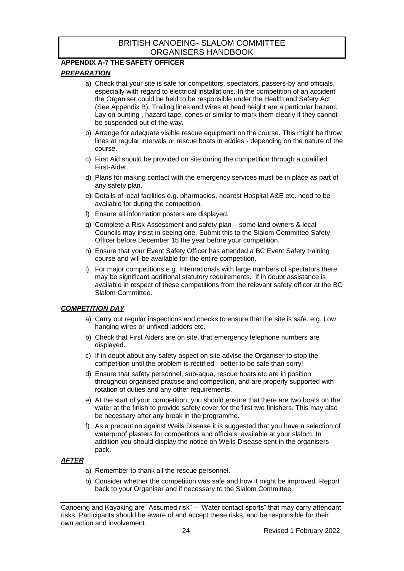## <span id="page-23-0"></span>**APPENDIX A-7 THE SAFETY OFFICER**

## *PREPARATION*

- a) Check that your site is safe for competitors, spectators, passers-by and officials, especially with regard to electrical installations. In the competition of an accident the Organiser could be held to be responsible under the Health and Safety Act (See Appendix B). Trailing lines and wires at head height are a particular hazard. Lay on bunting , hazard tape, cones or similar to mark them clearly if they cannot be suspended out of the way.
- b) Arrange for adequate visible rescue equipment on the course. This might be throw lines at regular intervals or rescue boats in eddies - depending on the nature of the course.
- c) First Aid should be provided on site during the competition through a qualified First-Aider.
- d) Plans for making contact with the emergency services must be in place as part of any safety plan.
- e) Details of local facilities e.g. pharmacies, nearest Hospital A&E etc. need to be available for during the competition.
- f) Ensure all information posters are displayed.
- g) Complete a Risk Assessment and safety plan some land owners & local Councils may insist in seeing one. Submit this to the Slalom Committee Safety Officer before December 15 the year before your competition.
- h) Ensure that your Event Safety Officer has attended a BC Event Safety training course and will be available for the entire competition.
- i) For major competitions e.g. Internationals with large numbers of spectators there may be significant additional statutory requirements. If in doubt assistance is available in respect of these competitions from the relevant safety officer at the BC Slalom Committee.

## *COMPETITION DAY*

- a) Carry out regular inspections and checks to ensure that the site is safe. e.g. Low hanging wires or unfixed ladders etc.
- b) Check that First Aiders are on site, that emergency telephone numbers are displayed.
- c) If in doubt about any safety aspect on site advise the Organiser to stop the competition until the problem is rectified - better to be safe than sorry!
- d) Ensure that safety personnel, sub-aqua, rescue boats etc are in position throughout organised practise and competition, and are properly supported with rotation of duties and any other requirements.
- e) At the start of your competition, you should ensure that there are two boats on the water at the finish to provide safety cover for the first two finishers. This may also be necessary after any break in the programme.
- f) As a precaution against Weils Disease it is suggested that you have a selection of waterproof plasters for competitors and officials, available at your slalom. In addition you should display the notice on Weils Disease sent in the organisers pack.

#### *AFTER*

- a) Remember to thank all the rescue personnel.
- b) Consider whether the competition was safe and how it might be improved. Report back to your Organiser and if necessary to the Slalom Committee.

Canoeing and Kayaking are "Assumed risk" – "Water contact sports" that may carry attendant risks. Participants should be aware of and accept these risks, and be responsible for their own action and involvement.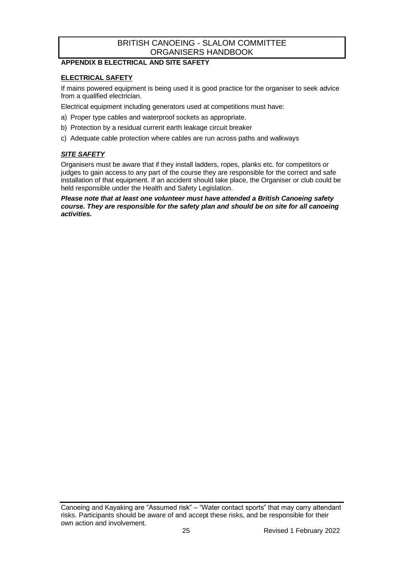## <span id="page-24-0"></span>**APPENDIX B ELECTRICAL AND SITE SAFETY**

## **ELECTRICAL SAFETY**

If mains powered equipment is being used it is good practice for the organiser to seek advice from a qualified electrician.

Electrical equipment including generators used at competitions must have:

- a) Proper type cables and waterproof sockets as appropriate.
- b) Protection by a residual current earth leakage circuit breaker
- c) Adequate cable protection where cables are run across paths and walkways

#### *SITE SAFETY*

Organisers must be aware that if they install ladders, ropes, planks etc. for competitors or judges to gain access to any part of the course they are responsible for the correct and safe installation of that equipment. If an accident should take place, the Organiser or club could be held responsible under the Health and Safety Legislation.

*Please note that at least one volunteer must have attended a British Canoeing safety course. They are responsible for the safety plan and should be on site for all canoeing activities.*

Canoeing and Kayaking are "Assumed risk" – "Water contact sports" that may carry attendant risks. Participants should be aware of and accept these risks, and be responsible for their own action and involvement.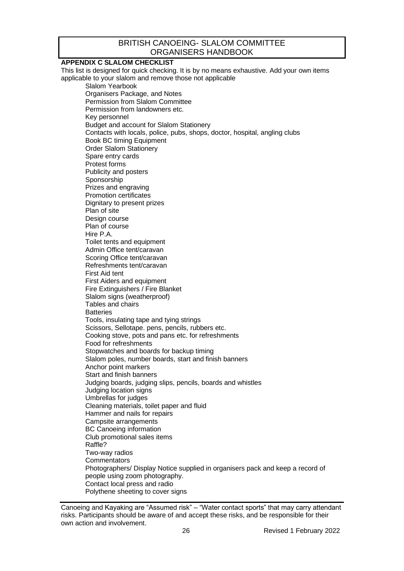## <span id="page-25-0"></span>**APPENDIX C SLALOM CHECKLIST**

This list is designed for quick checking. It is by no means exhaustive. Add your own items applicable to your slalom and remove those not applicable

Slalom Yearbook Organisers Package, and Notes Permission from Slalom Committee Permission from landowners etc. Key personnel Budget and account for Slalom Stationery Contacts with locals, police, pubs, shops, doctor, hospital, angling clubs Book BC timing Equipment Order Slalom Stationery Spare entry cards Protest forms Publicity and posters Sponsorship Prizes and engraving Promotion certificates Dignitary to present prizes Plan of site Design course Plan of course Hire P.A. Toilet tents and equipment Admin Office tent/caravan Scoring Office tent/caravan Refreshments tent/caravan First Aid tent First Aiders and equipment Fire Extinguishers / Fire Blanket Slalom signs (weatherproof) Tables and chairs **Batteries** Tools, insulating tape and tying strings Scissors, Sellotape. pens, pencils, rubbers etc. Cooking stove, pots and pans etc. for refreshments Food for refreshments Stopwatches and boards for backup timing Slalom poles, number boards, start and finish banners Anchor point markers Start and finish banners Judging boards, judging slips, pencils, boards and whistles Judging location signs Umbrellas for judges Cleaning materials, toilet paper and fluid Hammer and nails for repairs Campsite arrangements BC Canoeing information Club promotional sales items Raffle? Two-way radios **Commentators** Photographers/ Display Notice supplied in organisers pack and keep a record of people using zoom photography. Contact local press and radio Polythene sheeting to cover signs

Canoeing and Kayaking are "Assumed risk" – "Water contact sports" that may carry attendant risks. Participants should be aware of and accept these risks, and be responsible for their own action and involvement.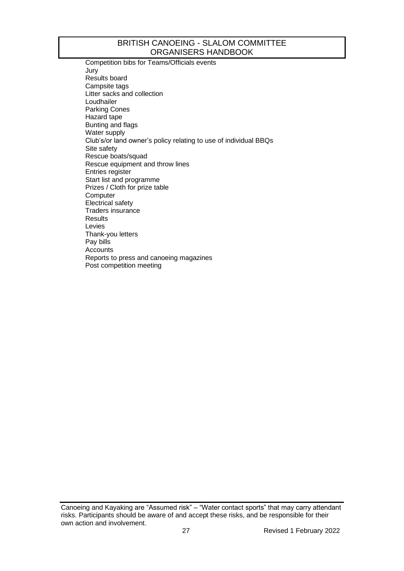Competition bibs for Teams/Officials events Jury Results board Campsite tags Litter sacks and collection Loudhailer Parking Cones Hazard tape Bunting and flags Water supply Club's/or land owner's policy relating to use of individual BBQs Site safety Rescue boats/squad Rescue equipment and throw lines Entries register Start list and programme Prizes / Cloth for prize table **Computer** Electrical safety Traders insurance **Results** Levies Thank-you letters Pay bills Accounts Reports to press and canoeing magazines Post competition meeting

Canoeing and Kayaking are "Assumed risk" – "Water contact sports" that may carry attendant risks. Participants should be aware of and accept these risks, and be responsible for their own action and involvement.